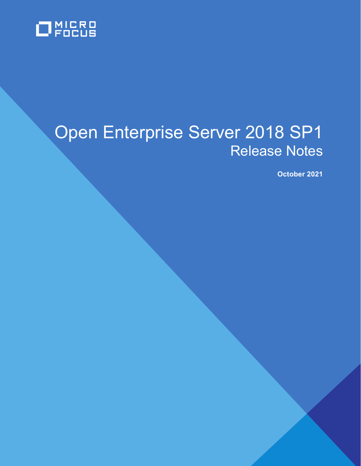

# Open Enterprise Server 2018 SP1 Release Notes

 **October 2021**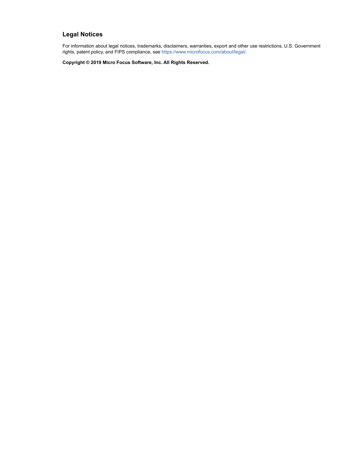#### **Legal Notices**

For information about legal notices, trademarks, disclaimers, warranties, export and other use restrictions, U.S. Government rights, patent policy, and FIPS compliance, see [https://www.microfocus.com/about/legal/.](https://www.microfocus.com/about/legal/)

**Copyright © 2019 Micro Focus Software, Inc. All Rights Reserved.**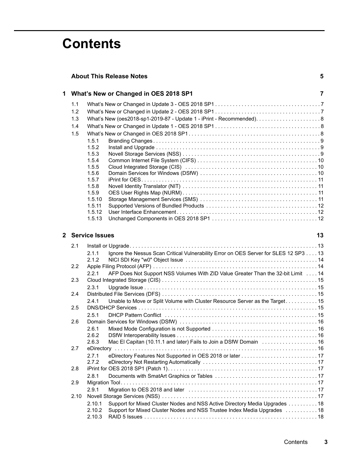# **Contents**

|                                         | <b>About This Release Notes</b>                                                                                         |    |  |
|-----------------------------------------|-------------------------------------------------------------------------------------------------------------------------|----|--|
| 1 What's New or Changed in OES 2018 SP1 |                                                                                                                         |    |  |
| 1.1                                     |                                                                                                                         |    |  |
| 1.2                                     |                                                                                                                         |    |  |
| 1.3                                     |                                                                                                                         |    |  |
| 1.4                                     |                                                                                                                         |    |  |
| 1.5                                     |                                                                                                                         |    |  |
|                                         | 1.5.1                                                                                                                   |    |  |
|                                         | 1.5.2                                                                                                                   |    |  |
|                                         | 1.5.3                                                                                                                   |    |  |
|                                         | 1.5.4                                                                                                                   |    |  |
|                                         | 1.5.5                                                                                                                   |    |  |
|                                         | 1.5.6                                                                                                                   |    |  |
|                                         | 1.5.7                                                                                                                   |    |  |
|                                         | 1.5.8                                                                                                                   |    |  |
|                                         | 1.5.9                                                                                                                   |    |  |
|                                         | 1.5.10                                                                                                                  |    |  |
|                                         | 1.5.11                                                                                                                  |    |  |
|                                         | 1.5.12                                                                                                                  |    |  |
|                                         | 1.5.13                                                                                                                  |    |  |
|                                         | 2 Service Issues                                                                                                        |    |  |
|                                         |                                                                                                                         | 13 |  |
|                                         |                                                                                                                         |    |  |
| 2.1                                     |                                                                                                                         |    |  |
|                                         | Ignore the Nessus Scan Critical Vulnerability Error on OES Server for SLES 12 SP3 13<br>2.1.1                           |    |  |
|                                         | 2.1.2                                                                                                                   |    |  |
| 2.2                                     |                                                                                                                         |    |  |
|                                         | 2.2.1<br>AFP Does Not Support NSS Volumes With ZID Value Greater Than the 32-bit Limit 14                               |    |  |
| 2.3                                     |                                                                                                                         |    |  |
|                                         | 2.3.1                                                                                                                   |    |  |
| 2.4                                     |                                                                                                                         |    |  |
|                                         | Unable to Move or Split Volume with Cluster Resource Server as the Target 15<br>2.4.1                                   |    |  |
| 2.5                                     |                                                                                                                         |    |  |
|                                         | 2.5.1                                                                                                                   |    |  |
| 2.6                                     |                                                                                                                         |    |  |
|                                         | 2.6.1                                                                                                                   |    |  |
|                                         | 2.6.2                                                                                                                   |    |  |
| 2.7                                     | Mac El Capitan (10.11.1 and later) Fails to Join a DSfW Domain  16<br>2.6.3                                             |    |  |
|                                         |                                                                                                                         |    |  |
|                                         | 2.7.1                                                                                                                   |    |  |
| 2.8                                     | 2.7.2<br>eDirectory Not Restarting Automatically (and the content of the content of the content of the content of the c |    |  |
|                                         | 2.8.1                                                                                                                   |    |  |

[2.9.1 Migration to OES 2018 and later . . . . . . . . . . . . . . . . . . . . . . . . . . . . . . . . . . . . . . . . . . . . 17](#page-16-5) [2.10 Novell Storage Services \(NSS\) . . . . . . . . . . . . . . . . . . . . . . . . . . . . . . . . . . . . . . . . . . . . . . . . . . . . . 17](#page-16-6) [2.10.1 Support for Mixed Cluster Nodes and NSS Active Directory Media Upgrades . . . . . . . . . . 18](#page-17-0) [2.10.2 Support for Mixed Cluster Nodes and NSS Trustee Index Media Upgrades . . . . . . . . . . . 18](#page-17-1) [2.10.3 RAID 5 Issues . . . . . . . . . . . . . . . . . . . . . . . . . . . . . . . . . . . . . . . . . . . . . . . . . . . . . . . . . . . 18](#page-17-2)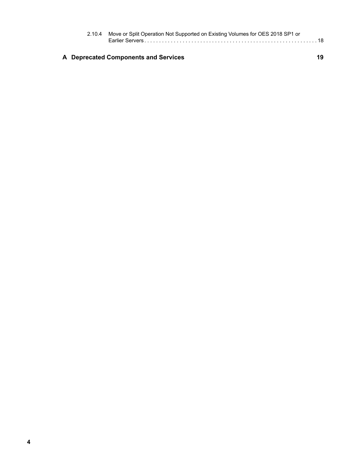|  | 2.10.4 Move or Split Operation Not Supported on Existing Volumes for OES 2018 SP1 or |    |  |
|--|--------------------------------------------------------------------------------------|----|--|
|  | A Deprecated Components and Services                                                 | 19 |  |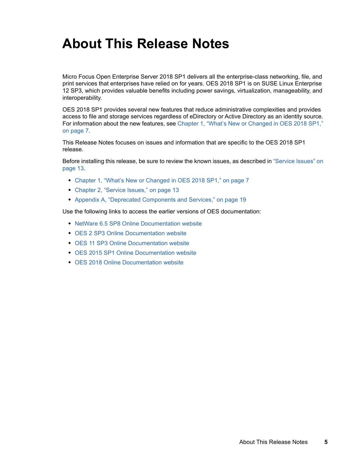# <span id="page-4-0"></span>**About This Release Notes**

Micro Focus Open Enterprise Server 2018 SP1 delivers all the enterprise-class networking, file, and print services that enterprises have relied on for years. OES 2018 SP1 is on SUSE Linux Enterprise 12 SP3, which provides valuable benefits including power savings, virtualization, manageability, and interoperability.

OES 2018 SP1 provides several new features that reduce administrative complexities and provides access to file and storage services regardless of eDirectory or Active Directory as an identity source. For information about the new features, see [Chapter 1, "What's New or Changed in OES 2018 SP1,"](#page-6-3)  [on page 7](#page-6-3).

This Release Notes focuses on issues and information that are specific to the OES 2018 SP1 release.

Before installing this release, be sure to review the known issues, as described in ["Service Issues" on](#page-12-3)  [page 13](#page-12-3).

- [Chapter 1, "What's New or Changed in OES 2018 SP1," on page 7](#page-6-3)
- [Chapter 2, "Service Issues," on page 13](#page-12-3)
- [Appendix A, "Deprecated Components and Services," on page 19](#page-18-1)

Use the following links to access the earlier versions of OES documentation:

- [NetWare 6.5 SP8 Online Documentation website](http://www.novell.com/documentation/nw65)
- [OES 2 SP3 Online Documentation website](http://www.novell.com/documentation/oes2/)
- [OES 11 SP3 Online Documentation website](http://www.novell.com/documentation/oes11)
- [OES 2015 SP1 Online Documentation website](http://www.novell.com/documentation/oes2015)
- [OES 2018 Online Documentation website](https://www.novell.com/documentation/open-enterprise-server-2018/)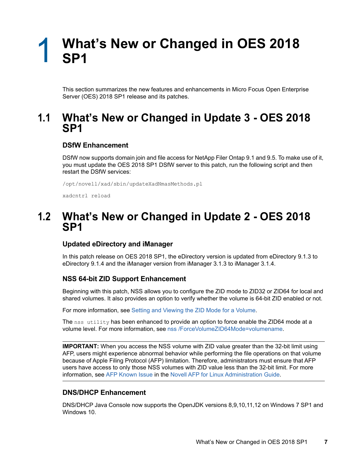### <span id="page-6-3"></span><span id="page-6-0"></span>1 <sup>1</sup>**What's New or Changed in OES 2018 SP1**

This section summarizes the new features and enhancements in Micro Focus Open Enterprise Server (OES) 2018 SP1 release and its patches.

### <span id="page-6-1"></span>**1.1 What's New or Changed in Update 3 - OES 2018 SP1**

#### **DSfW Enhancement**

DSfW now supports domain join and file access for NetApp Filer Ontap 9.1 and 9.5. To make use of it, you must update the OES 2018 SP1 DSfW server to this patch, run the following script and then restart the DSfW services:

/opt/novell/xad/sbin/updateXadNmasMethods.pl

xadcntrl reload

### <span id="page-6-2"></span>**1.2 What's New or Changed in Update 2 - OES 2018 SP1**

#### **Updated eDirectory and iManager**

In this patch release on OES 2018 SP1, the eDirectory version is updated from eDirectory 9.1.3 to eDirectory 9.1.4 and the iManager version from iManager 3.1.3 to iManager 3.1.4.

#### **NSS 64-bit ZID Support Enhancement**

Beginning with this patch, NSS allows you to configure the ZID mode to ZID32 or ZID64 for local and shared volumes. It also provides an option to verify whether the volume is 64-bit ZID enabled or not.

For more information, see [Setting and Viewing the ZID Mode for a Volume.](https://www.novell.com/documentation/open-enterprise-server-2018/stor_nss_lx/data/t49x2kzfpyk7.html)

The nss utility has been enhanced to provide an option to force enable the ZID64 mode at a volume level. For more information, see [nss /ForceVolumeZID64Mode=volumename.](https://www.novell.com/documentation/open-enterprise-server-2018/stor_nss_lx/data/bapitww.html#t49z7n8fdnvb)

**IMPORTANT:** When you access the NSS volume with ZID value greater than the 32-bit limit using AFP, users might experience abnormal behavior while performing the file operations on that volume because of Apple Filing Protocol (AFP) limitation. Therefore, administrators must ensure that AFP users have access to only those NSS volumes with ZID value less than the 32-bit limit. For more information, see [AFP Known Issue](https://www.novell.com/documentation/open-enterprise-server-2018/file_afp_lx/data/b16r9aq6.html#t43zk92896y4) in the [Novell AFP for Linux Administration Guide](https://www.novell.com/documentation/open-enterprise-server-2018/file_afp_lx/data/h9izvdye.html#h9izvdye).

#### **DNS/DHCP Enhancement**

DNS/DHCP Java Console now supports the OpenJDK versions 8,9,10,11,12 on Windows 7 SP1 and Windows 10.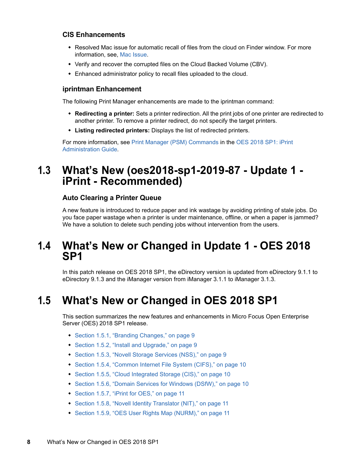#### **CIS Enhancements**

- Resolved Mac issue for automatic recall of files from the cloud on Finder window. For more information, see, [Mac Issue](https://www.novell.com/documentation/open-enterprise-server-2018/cis_admin_lx/data/t49zt3ama4az.html).
- Verify and recover the corrupted files on the Cloud Backed Volume (CBV).
- Enhanced administrator policy to recall files uploaded to the cloud.

#### **iprintman Enhancement**

The following Print Manager enhancements are made to the iprintman command:

- **Redirecting a printer:** Sets a printer redirection. All the print jobs of one printer are redirected to another printer. To remove a printer redirect, do not specify the target printers.
- **Listing redirected printers:** Displays the list of redirected printers.

For more information, see [Print Manager \(PSM\) Commands](https://www.novell.com/documentation/open-enterprise-server-2018/iprint_lx/data/b9xw13b.html#b9xwhej) in the [OES 2018 SP1: iPrint](https://www.novell.com/documentation/open-enterprise-server-2018/iprint_lx/data/front.html)  [Administration Guide.](https://www.novell.com/documentation/open-enterprise-server-2018/iprint_lx/data/front.html)

## <span id="page-7-0"></span>**1.3 What's New (oes2018-sp1-2019-87 - Update 1 iPrint - Recommended)**

#### **Auto Clearing a Printer Queue**

A new feature is introduced to reduce paper and ink wastage by avoiding printing of stale jobs. Do you face paper wastage when a printer is under maintenance, offline, or when a paper is jammed? We have a solution to delete such pending jobs without intervention from the users.

### <span id="page-7-1"></span>**1.4 What's New or Changed in Update 1 - OES 2018 SP1**

In this patch release on OES 2018 SP1, the eDirectory version is updated from eDirectory 9.1.1 to eDirectory 9.1.3 and the iManager version from iManager 3.1.1 to iManager 3.1.3.

# <span id="page-7-2"></span>**1.5 What's New or Changed in OES 2018 SP1**

This section summarizes the new features and enhancements in Micro Focus Open Enterprise Server (OES) 2018 SP1 release.

- [Section 1.5.1, "Branding Changes," on page 9](#page-8-0)
- [Section 1.5.2, "Install and Upgrade," on page 9](#page-8-1)
- [Section 1.5.3, "Novell Storage Services \(NSS\)," on page 9](#page-8-2)
- [Section 1.5.4, "Common Internet File System \(CIFS\)," on page 10](#page-9-0)
- [Section 1.5.5, "Cloud Integrated Storage \(CIS\)," on page 10](#page-9-1)
- [Section 1.5.6, "Domain Services for Windows \(DSfW\)," on page 10](#page-9-2)
- ◆ [Section 1.5.7, "iPrint for OES," on page 11](#page-10-0)
- [Section 1.5.8, "Novell Identity Translator \(NIT\)," on page 11](#page-10-1)
- [Section 1.5.9, "OES User Rights Map \(NURM\)," on page 11](#page-10-2)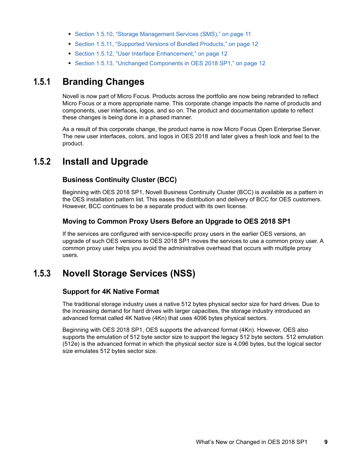- [Section 1.5.10, "Storage Management Services \(SMS\)," on page 11](#page-10-3)
- [Section 1.5.11, "Supported Versions of Bundled Products," on page 12](#page-11-0)
- [Section 1.5.12, "User Interface Enhancement," on page 12](#page-11-1)
- [Section 1.5.13, "Unchanged Components in OES 2018 SP1," on page 12](#page-11-2)

#### <span id="page-8-0"></span>**1.5.1 Branding Changes**

Novell is now part of Micro Focus. Products across the portfolio are now being rebranded to reflect Micro Focus or a more appropriate name. This corporate change impacts the name of products and components, user interfaces, logos, and so on. The product and documentation update to reflect these changes is being done in a phased manner.

As a result of this corporate change, the product name is now Micro Focus Open Enterprise Server. The new user interfaces, colors, and logos in OES 2018 and later gives a fresh look and feel to the product.

#### <span id="page-8-1"></span>**1.5.2 Install and Upgrade**

#### **Business Continuity Cluster (BCC)**

Beginning with OES 2018 SP1, Novell Business Continuity Cluster (BCC) is available as a pattern in the OES installation pattern list. This eases the distribution and delivery of BCC for OES customers. However, BCC continues to be a separate product with its own license.

#### **Moving to Common Proxy Users Before an Upgrade to OES 2018 SP1**

If the services are configured with service-specific proxy users in the earlier OES versions, an upgrade of such OES versions to OES 2018 SP1 moves the services to use a common proxy user. A common proxy user helps you avoid the administrative overhead that occurs with multiple proxy users.

### <span id="page-8-2"></span>**1.5.3 Novell Storage Services (NSS)**

#### **Support for 4K Native Format**

The traditional storage industry uses a native 512 bytes physical sector size for hard drives. Due to the increasing demand for hard drives with larger capacities, the storage industry introduced an advanced format called 4K Native (4Kn) that uses 4096 bytes physical sectors.

Beginning with OES 2018 SP1, OES supports the advanced format (4Kn). However, OES also supports the emulation of 512 byte sector size to support the legacy 512 byte sectors. 512 emulation (512e) is the advanced format in which the physical sector size is 4,096 bytes, but the logical sector size emulates 512 bytes sector size.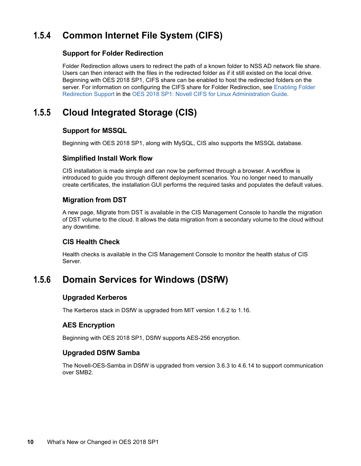### <span id="page-9-0"></span>**1.5.4 Common Internet File System (CIFS)**

#### **Support for Folder Redirection**

Folder Redirection allows users to redirect the path of a known folder to NSS AD network file share. Users can then interact with the files in the redirected folder as if it still existed on the local drive. Beginning with OES 2018 SP1, CIFS share can be enabled to host the redirected folders on the server. For information on configuring the CIFS share for Folder Redirection, see [Enabling Folder](https://www.novell.com/documentation/open-enterprise-server-2018/pdfdoc/file_cifs_lx/file_cifs_lx.pdf#folderredirection)  [Redirection Support](https://www.novell.com/documentation/open-enterprise-server-2018/pdfdoc/file_cifs_lx/file_cifs_lx.pdf#folderredirection) in the [OES 2018 SP1: Novell CIFS for Linux Administration Guide](https://www.novell.com/documentation/open-enterprise-server-2018/pdfdoc/file_cifs_lx/file_cifs_lx.pdf#front).

### <span id="page-9-1"></span>**1.5.5 Cloud Integrated Storage (CIS)**

#### **Support for MSSQL**

Beginning with OES 2018 SP1, along with MySQL, CIS also supports the MSSQL database.

#### **Simplified Install Work flow**

CIS installation is made simple and can now be performed through a browser. A workflow is introduced to guide you through different deployment scenarios. You no longer need to manually create certificates, the installation GUI performs the required tasks and populates the default values.

#### **Migration from DST**

A new page, Migrate from DST is available in the CIS Management Console to handle the migration of DST volume to the cloud. It allows the data migration from a secondary volume to the cloud without any downtime.

#### **CIS Health Check**

Health checks is available in the CIS Management Console to monitor the health status of CIS Server.

### <span id="page-9-2"></span>**1.5.6 Domain Services for Windows (DSfW)**

#### **Upgraded Kerberos**

The Kerberos stack in DSfW is upgraded from MIT version 1.6.2 to 1.16.

#### **AES Encryption**

Beginning with OES 2018 SP1, DSfW supports AES-256 encryption.

#### **Upgraded DSfW Samba**

The Novell-OES-Samba in DSfW is upgraded from version 3.6.3 to 4.6.14 to support communication over SMB2.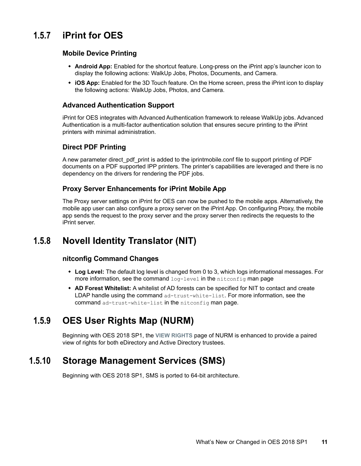### <span id="page-10-0"></span>**1.5.7 iPrint for OES**

#### **Mobile Device Printing**

- **Android App:** Enabled for the shortcut feature. Long-press on the iPrint app's launcher icon to display the following actions: WalkUp Jobs, Photos, Documents, and Camera.
- **iOS App:** Enabled for the 3D Touch feature. On the Home screen, press the iPrint icon to display the following actions: WalkUp Jobs, Photos, and Camera.

#### **Advanced Authentication Support**

iPrint for OES integrates with Advanced Authentication framework to release WalkUp jobs. Advanced Authentication is a multi-factor authentication solution that ensures secure printing to the iPrint printers with minimal administration.

#### **Direct PDF Printing**

A new parameter direct\_pdf\_print is added to the iprintmobile.conf file to support printing of PDF documents on a PDF supported IPP printers. The printer's capabilities are leveraged and there is no dependency on the drivers for rendering the PDF jobs.

#### **Proxy Server Enhancements for iPrint Mobile App**

The Proxy server settings on iPrint for OES can now be pushed to the mobile apps. Alternatively, the mobile app user can also configure a proxy server on the iPrint App. On configuring Proxy, the mobile app sends the request to the proxy server and the proxy server then redirects the requests to the iPrint server.

### <span id="page-10-1"></span>**1.5.8 Novell Identity Translator (NIT)**

#### **nitconfig Command Changes**

- **Log Level:** The default log level is changed from 0 to 3, which logs informational messages. For more information, see the command log-level in the nitconfig man page
- **AD Forest Whitelist:** A whitelist of AD forests can be specified for NIT to contact and create LDAP handle using the command ad-trust-white-list. For more information, see the command ad-trust-white-list in the nitconfig man page.

### <span id="page-10-2"></span>**1.5.9 OES User Rights Map (NURM)**

Beginning with OES 2018 SP1, the **VIEW RIGHTS** page of NURM is enhanced to provide a paired view of rights for both eDirectory and Active Directory trustees.

### <span id="page-10-3"></span>**1.5.10 Storage Management Services (SMS)**

Beginning with OES 2018 SP1, SMS is ported to 64-bit architecture.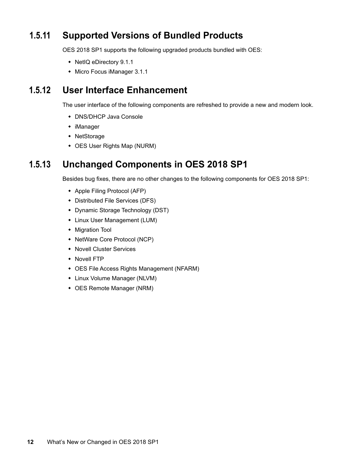### <span id="page-11-0"></span>**1.5.11 Supported Versions of Bundled Products**

OES 2018 SP1 supports the following upgraded products bundled with OES:

- NetIQ eDirectory 9.1.1
- Micro Focus iManager 3.1.1

### <span id="page-11-1"></span>**1.5.12 User Interface Enhancement**

The user interface of the following components are refreshed to provide a new and modern look.

- DNS/DHCP Java Console
- iManager
- NetStorage
- OES User Rights Map (NURM)

### <span id="page-11-2"></span>**1.5.13 Unchanged Components in OES 2018 SP1**

Besides bug fixes, there are no other changes to the following components for OES 2018 SP1:

- Apple Filing Protocol (AFP)
- Distributed File Services (DFS)
- Dynamic Storage Technology (DST)
- Linux User Management (LUM)
- Migration Tool
- NetWare Core Protocol (NCP)
- Novell Cluster Services
- Novell FTP
- OES File Access Rights Management (NFARM)
- Linux Volume Manager (NLVM)
- OES Remote Manager (NRM)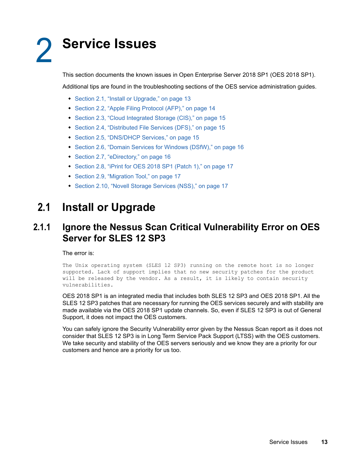# <span id="page-12-3"></span><span id="page-12-0"></span><sup>2</sup>**Service Issues**

This section documents the known issues in Open Enterprise Server 2018 SP1 (OES 2018 SP1).

Additional tips are found in the troubleshooting sections of the OES service administration guides.

- [Section 2.1, "Install or Upgrade," on page 13](#page-12-1)
- [Section 2.2, "Apple Filing Protocol \(AFP\)," on page 14](#page-13-1)
- [Section 2.3, "Cloud Integrated Storage \(CIS\)," on page 15](#page-14-0)
- [Section 2.4, "Distributed File Services \(DFS\)," on page 15](#page-14-2)
- [Section 2.5, "DNS/DHCP Services," on page 15](#page-14-4)
- [Section 2.6, "Domain Services for Windows \(DSfW\)," on page 16](#page-15-0)
- [Section 2.7, "eDirectory," on page 16](#page-15-4)
- [Section 2.8, "iPrint for OES 2018 SP1 \(Patch 1\)," on page 17](#page-16-2)
- [Section 2.9, "Migration Tool," on page 17](#page-16-4)
- [Section 2.10, "Novell Storage Services \(NSS\)," on page 17](#page-16-6)

# <span id="page-12-1"></span>**2.1 Install or Upgrade**

#### <span id="page-12-2"></span>**2.1.1 Ignore the Nessus Scan Critical Vulnerability Error on OES Server for SLES 12 SP3**

The error is:

The Unix operating system (SLES 12 SP3) running on the remote host is no longer supported. Lack of support implies that no new security patches for the product will be released by the vendor. As a result, it is likely to contain security vulnerabilities.

OES 2018 SP1 is an integrated media that includes both SLES 12 SP3 and OES 2018 SP1. All the SLES 12 SP3 patches that are necessary for running the OES services securely and with stability are made available via the OES 2018 SP1 update channels. So, even if SLES 12 SP3 is out of General Support, it does not impact the OES customers.

You can safely ignore the Security Vulnerability error given by the Nessus Scan report as it does not consider that SLES 12 SP3 is in Long Term Service Pack Support (LTSS) with the OES customers. We take security and stability of the OES servers seriously and we know they are a priority for our customers and hence are a priority for us too.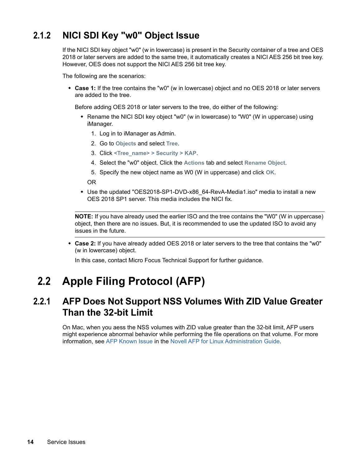### <span id="page-13-0"></span>**2.1.2 NICI SDI Key "w0" Object Issue**

If the NICI SDI key object "w0" (w in lowercase) is present in the Security container of a tree and OES 2018 or later servers are added to the same tree, it automatically creates a NICI AES 256 bit tree key. However, OES does not support the NICI AES 256 bit tree key.

The following are the scenarios:

 **Case 1:** If the tree contains the "w0" (w in lowercase) object and no OES 2018 or later servers are added to the tree.

Before adding OES 2018 or later servers to the tree, do either of the following:

- Rename the NICI SDI key object "w0" (w in lowercase) to "W0" (W in uppercase) using iManager.
	- 1. Log in to iManager as Admin.
	- 2. Go to **Objects** and select **Tree**.
	- 3. Click **<Tree\_name> > Security > KAP**.
	- 4. Select the "w0" object. Click the **Actions** tab and select **Rename Object**.
	- 5. Specify the new object name as W0 (W in uppercase) and click **OK**.

OR

• Use the updated "OES2018-SP1-DVD-x86 64-RevA-Media1.iso" media to install a new OES 2018 SP1 server. This media includes the NICI fix.

**NOTE:** If you have already used the earlier ISO and the tree contains the "W0" (W in uppercase) object, then there are no issues. But, it is recommended to use the updated ISO to avoid any issues in the future.

 **Case 2:** If you have already added OES 2018 or later servers to the tree that contains the "w0" (w in lowercase) object.

In this case, contact Micro Focus Technical Support for further guidance.

# <span id="page-13-1"></span>**2.2 Apple Filing Protocol (AFP)**

### <span id="page-13-2"></span>**2.2.1 AFP Does Not Support NSS Volumes With ZID Value Greater Than the 32-bit Limit**

On Mac, when you aess the NSS volumes with ZID value greater than the 32-bit limit, AFP users might experience abnormal behavior while performing the file operations on that volume. For more information, see [AFP Known Issue](https://www.novell.com/documentation/open-enterprise-server-2018/file_afp_lx/data/b16r9aq6.html#t43zk92896y4) in the [Novell AFP for Linux Administration Guide](https://www.novell.com/documentation/open-enterprise-server-2018/file_afp_lx/data/h9izvdye.html#h9izvdye).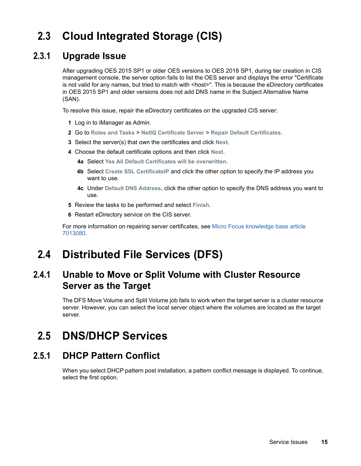# <span id="page-14-0"></span>**2.3 Cloud Integrated Storage (CIS)**

### <span id="page-14-1"></span>**2.3.1 Upgrade Issue**

After upgrading OES 2015 SP1 or older OES versions to OES 2018 SP1, during tier creation in CIS management console, the server option fails to list the OES server and displays the error "Certificate is not valid for any names, but tried to match with <host>". This is because the eDirectory certificates in OES 2015 SP1 and older versions does not add DNS name in the Subject Alternative Name (SAN).

To resolve this issue, repair the eDirectory certificates on the upgraded CIS server:

- **1** Log in to iManager as Admin.
- **2** Go to **Roles and Tasks** > **NetIQ Certificate Server** > **Repair Default Certificates**.
- **3** Select the server(s) that own the certificates and click **Next**.
- **4** Choose the default certificate options and then click **Next**.
	- **4a** Select **Yes All Default Certificates will be overwritten**.
	- **4b** Select **Create SSL CertificateIP** and click the other option to specify the IP address you want to use.
	- **4c** Under **Default DNS Address**, click the other option to specify the DNS address you want to use.
- **5** Review the tasks to be performed and select **Finish**.
- **6** Restart eDirectory service on the CIS server.

For more information on repairing server certificates, see [Micro Focus knowledge base article](https://support.microfocus.com/kb/doc.php?id=7013080)  [7013080.](https://support.microfocus.com/kb/doc.php?id=7013080)

# <span id="page-14-2"></span>**2.4 Distributed File Services (DFS)**

### <span id="page-14-3"></span>**2.4.1 Unable to Move or Split Volume with Cluster Resource Server as the Target**

The DFS Move Volume and Split Volume job fails to work when the target server is a cluster resource server. However, you can select the local server object where the volumes are located as the target server.

# <span id="page-14-4"></span>**2.5 DNS/DHCP Services**

### <span id="page-14-5"></span>**2.5.1 DHCP Pattern Conflict**

When you select DHCP pattern post installation, a pattern conflict message is displayed. To continue, select the first option.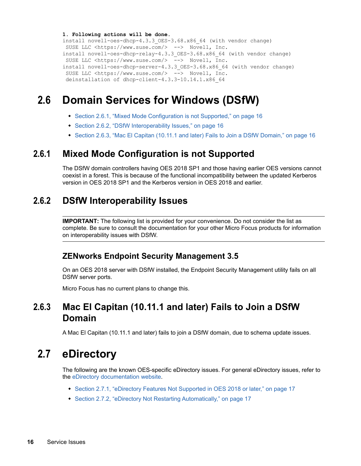```
1. Following actions will be done.
install novell-oes-dhcp-4.3.3_OES-3.68.x86_64 (with vendor change)
 SUSE LLC <https://www.suse.com/> --> Novell, Inc.
install novell-oes-dhcp-relay-4.3.3_OES-3.68.x86_64 (with vendor change)
SUSE LLC <https://www.suse.com/> --> Novell, Inc.
install novell-oes-dhcp-server-4.3.3_OES-3.68.x86_64 (with vendor change)
 SUSE LLC <https://www.suse.com/> --> Novell, Inc.
 deinstallation of dhcp-client-4.3.3-10.14.1.x86_64
```
# <span id="page-15-0"></span>**2.6 Domain Services for Windows (DSfW)**

- [Section 2.6.1, "Mixed Mode Configuration is not Supported," on page 16](#page-15-1)
- [Section 2.6.2, "DSfW Interoperability Issues," on page 16](#page-15-2)
- [Section 2.6.3, "Mac El Capitan \(10.11.1 and later\) Fails to Join a DSfW Domain," on page 16](#page-15-3)

### <span id="page-15-1"></span>**2.6.1 Mixed Mode Configuration is not Supported**

The DSfW domain controllers having OES 2018 SP1 and those having earlier OES versions cannot coexist in a forest. This is because of the functional incompatibility between the updated Kerberos version in OES 2018 SP1 and the Kerberos version in OES 2018 and earlier.

### <span id="page-15-2"></span>**2.6.2 DSfW Interoperability Issues**

**IMPORTANT:** The following list is provided for your convenience. Do not consider the list as complete. Be sure to consult the documentation for your other Micro Focus products for information on interoperability issues with DSfW.

#### **ZENworks Endpoint Security Management 3.5**

On an OES 2018 server with DSfW installed, the Endpoint Security Management utility fails on all DSfW server ports.

Micro Focus has no current plans to change this.

### <span id="page-15-3"></span>**2.6.3 Mac El Capitan (10.11.1 and later) Fails to Join a DSfW Domain**

A Mac El Capitan (10.11.1 and later) fails to join a DSfW domain, due to schema update issues.

# <span id="page-15-4"></span>**2.7 eDirectory**

The following are the known OES-specific eDirectory issues. For general eDirectory issues, refer to the [eDirectory documentation website](https://www.netiq.com/documentation/edirectory-91/).

- [Section 2.7.1, "eDirectory Features Not Supported in OES 2018 or later," on page 17](#page-16-0)
- [Section 2.7.2, "eDirectory Not Restarting Automatically," on page 17](#page-16-1)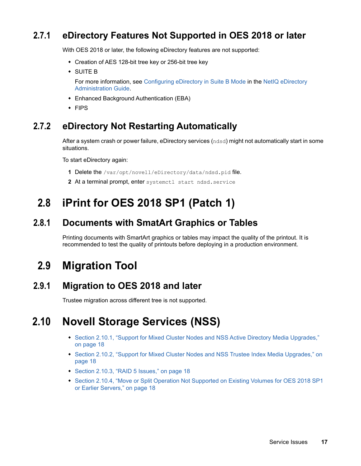### <span id="page-16-0"></span>**2.7.1 eDirectory Features Not Supported in OES 2018 or later**

With OES 2018 or later, the following eDirectory features are not supported:

- Creation of AES 128-bit tree key or 256-bit tree key
- SUITE B

For more information, see [Configuring eDirectory in Suite B Mode](https://www.netiq.com/documentation/edirectory-91/pdfdoc/edir_admin/edir_admin.pdf#b1i4rmmx) in the [NetIQ eDirectory](https://www.netiq.com/documentation/edirectory-91/pdfdoc/edir_admin/edir_admin.pdf#bookinfo)  [Administration Guide.](https://www.netiq.com/documentation/edirectory-91/pdfdoc/edir_admin/edir_admin.pdf#bookinfo)

- Enhanced Background Authentication (EBA)
- $\cdot$  FIPS

### <span id="page-16-1"></span>**2.7.2 eDirectory Not Restarting Automatically**

After a system crash or power failure, eDirectory services (ndsd) might not automatically start in some situations.

To start eDirectory again:

- **1** Delete the /var/opt/novell/eDirectory/data/ndsd.pid file.
- **2** At a terminal prompt, enter systemctl start ndsd.service

# <span id="page-16-2"></span>**2.8 iPrint for OES 2018 SP1 (Patch 1)**

#### <span id="page-16-3"></span>**2.8.1 Documents with SmatArt Graphics or Tables**

Printing documents with SmartArt graphics or tables may impact the quality of the printout. It is recommended to test the quality of printouts before deploying in a production environment.

# <span id="page-16-4"></span>**2.9 Migration Tool**

### <span id="page-16-5"></span>**2.9.1 Migration to OES 2018 and later**

Trustee migration across different tree is not supported.

# <span id="page-16-6"></span>**2.10 Novell Storage Services (NSS)**

- Section 2.10.1, "Support for Mixed Cluster Nodes and NSS Active Directory Media Upgrades," [on page 18](#page-17-0)
- Section 2.10.2, "Support for Mixed Cluster Nodes and NSS Trustee Index Media Upgrades," on [page 18](#page-17-1)
- ◆ [Section 2.10.3, "RAID 5 Issues," on page 18](#page-17-2)
- Section 2.10.4, "Move or Split Operation Not Supported on Existing Volumes for OES 2018 SP1 [or Earlier Servers," on page 18](#page-17-3)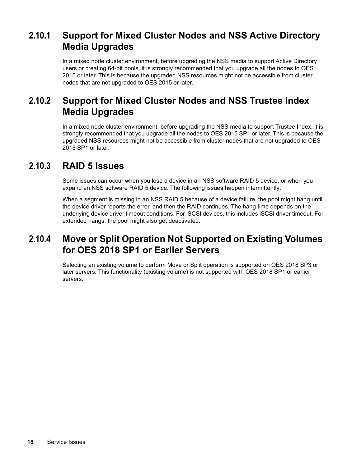### <span id="page-17-0"></span>**2.10.1 Support for Mixed Cluster Nodes and NSS Active Directory Media Upgrades**

In a mixed node cluster environment, before upgrading the NSS media to support Active Directory users or creating 64-bit pools, it is strongly recommended that you upgrade all the nodes to OES 2015 or later. This is because the upgraded NSS resources might not be accessible from cluster nodes that are not upgraded to OES 2015 or later.

### <span id="page-17-1"></span>**2.10.2 Support for Mixed Cluster Nodes and NSS Trustee Index Media Upgrades**

In a mixed node cluster environment, before upgrading the NSS media to support Trustee Index, it is strongly recommended that you upgrade all the nodes to OES 2015 SP1 or later. This is because the upgraded NSS resources might not be accessible from cluster nodes that are not upgraded to OES 2015 SP1 or later.

#### <span id="page-17-2"></span>**2.10.3 RAID 5 Issues**

Some issues can occur when you lose a device in an NSS software RAID 5 device, or when you expand an NSS software RAID 5 device. The following issues happen intermittently:

When a segment is missing in an NSS RAID 5 because of a device failure, the pool might hang until the device driver reports the error, and then the RAID continues. The hang time depends on the underlying device driver timeout conditions. For iSCSI devices, this includes iSCSI driver timeout. For extended hangs, the pool might also get deactivated.

### <span id="page-17-3"></span>**2.10.4 Move or Split Operation Not Supported on Existing Volumes for OES 2018 SP1 or Earlier Servers**

Selecting an existing volume to perform Move or Split operation is supported on OES 2018 SP3 or later servers. This functionality (existing volume) is not supported with OES 2018 SP1 or earlier servers.